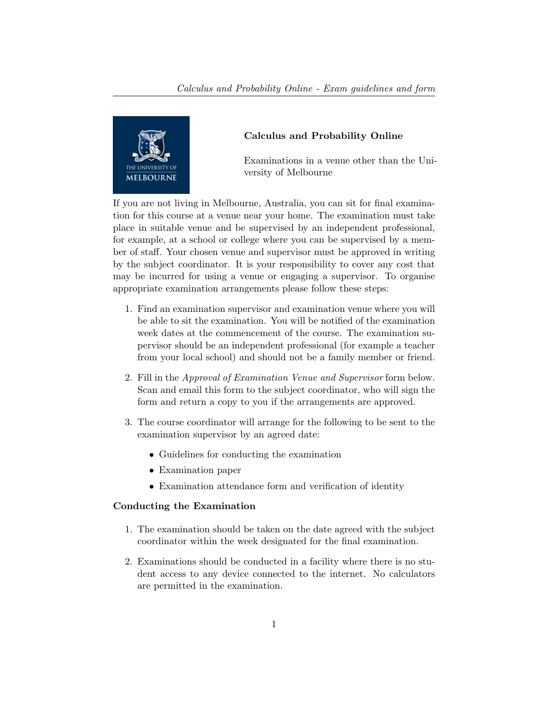

## Calculus and Probability Online

Examinations in a venue other than the University of Melbourne

If you are not living in Melbourne, Australia, you can sit for final examination for this course at a venue near your home. The examination must take place in suitable venue and be supervised by an independent professional, for example, at a school or college where you can be supervised by a member of staff. Your chosen venue and supervisor must be approved in writing by the subject coordinator. It is your responsibility to cover any cost that may be incurred for using a venue or engaging a supervisor. To organise appropriate examination arrangements please follow these steps:

- 1. Find an examination supervisor and examination venue where you will be able to sit the examination. You will be notified of the examination week dates at the commencement of the course. The examination supervisor should be an independent professional (for example a teacher from your local school) and should not be a family member or friend.
- 2. Fill in the Approval of Examination Venue and Supervisor form below. Scan and email this form to the subject coordinator, who will sign the form and return a copy to you if the arrangements are approved.
- 3. The course coordinator will arrange for the following to be sent to the examination supervisor by an agreed date:
	- Guidelines for conducting the examination
	- Examination paper
	- Examination attendance form and verification of identity

### Conducting the Examination

- 1. The examination should be taken on the date agreed with the subject coordinator within the week designated for the final examination.
- 2. Examinations should be conducted in a facility where there is no student access to any device connected to the internet. No calculators are permitted in the examination.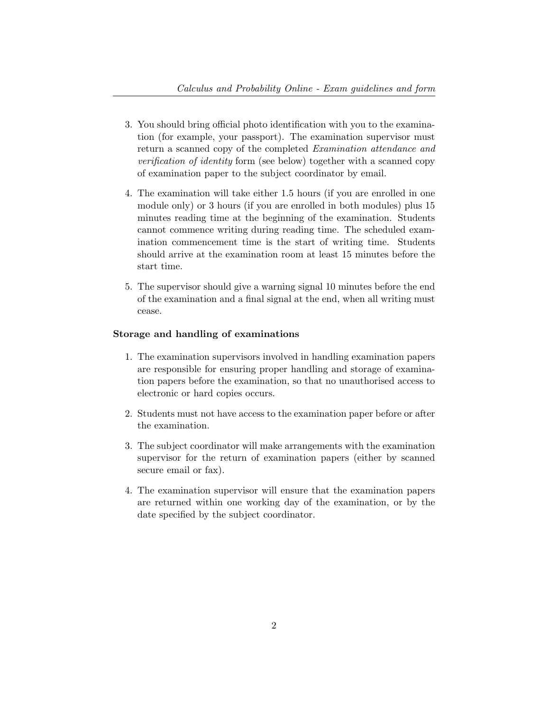- 3. You should bring official photo identification with you to the examination (for example, your passport). The examination supervisor must return a scanned copy of the completed Examination attendance and verification of identity form (see below) together with a scanned copy of examination paper to the subject coordinator by email.
- 4. The examination will take either 1.5 hours (if you are enrolled in one module only) or 3 hours (if you are enrolled in both modules) plus 15 minutes reading time at the beginning of the examination. Students cannot commence writing during reading time. The scheduled examination commencement time is the start of writing time. Students should arrive at the examination room at least 15 minutes before the start time.
- 5. The supervisor should give a warning signal 10 minutes before the end of the examination and a final signal at the end, when all writing must cease.

#### Storage and handling of examinations

- 1. The examination supervisors involved in handling examination papers are responsible for ensuring proper handling and storage of examination papers before the examination, so that no unauthorised access to electronic or hard copies occurs.
- 2. Students must not have access to the examination paper before or after the examination.
- 3. The subject coordinator will make arrangements with the examination supervisor for the return of examination papers (either by scanned secure email or fax).
- 4. The examination supervisor will ensure that the examination papers are returned within one working day of the examination, or by the date specified by the subject coordinator.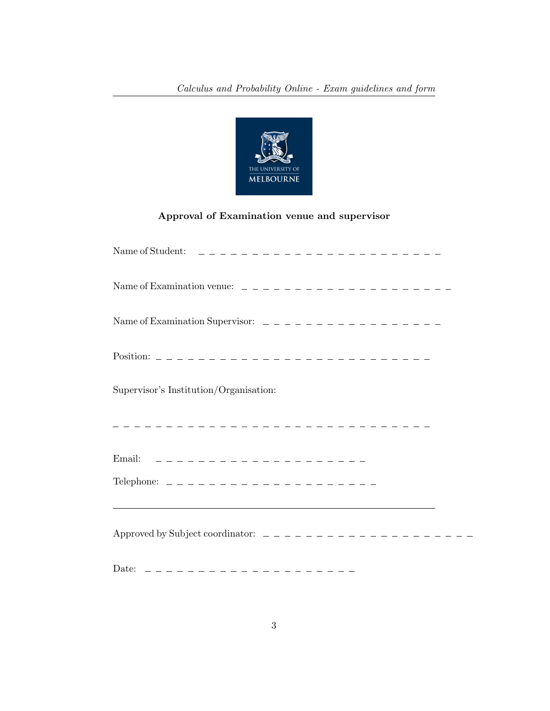

# Approval of Examination venue and supervisor

| Supervisor's Institution/Organisation:                                                                                                             |
|----------------------------------------------------------------------------------------------------------------------------------------------------|
| --------------------------------                                                                                                                   |
|                                                                                                                                                    |
| ,我们也不能在这里的时候,我们也不能在这里的时候,我们也不能会不能会不能会不能会不能会不能会不能会不能会不能会不能会不能会。<br>第2012章 我们的时候,我们的时候,我们的时候,我们的时候,我们的时候,我们的时候,我们的时候,我们的时候,我们的时候,我们的时候,我们的时候,我们的时候,我 |
|                                                                                                                                                    |
|                                                                                                                                                    |